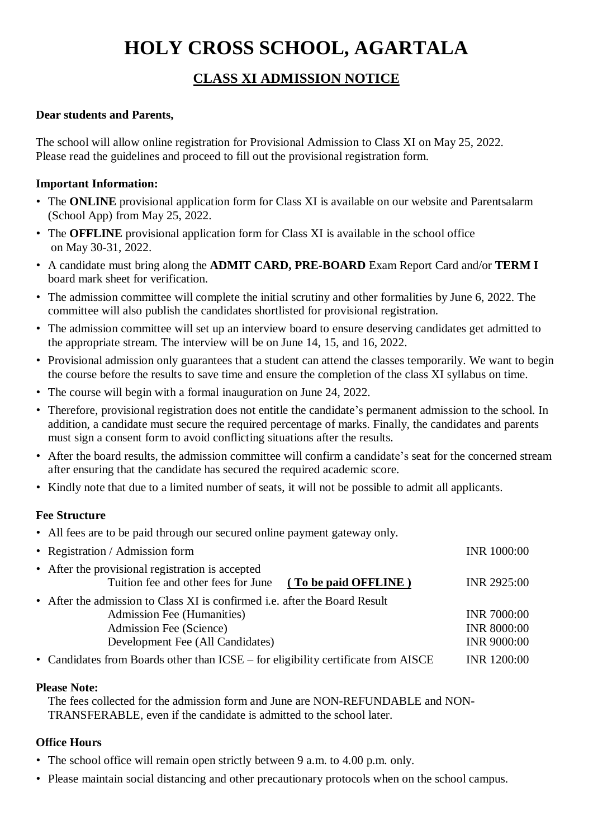# **HOLY CROSS SCHOOL, AGARTALA**

# **CLASS XI ADMISSION NOTICE**

# **Dear students and Parents,**

The school will allow online registration for Provisional Admission to Class XI on May 25, 2022. Please read the guidelines and proceed to fill out the provisional registration form.

# **Important Information:**

- The **ONLINE** provisional application form for Class XI is available on our website and Parentsalarm (School App) from May 25, 2022.
- The **OFFLINE** provisional application form for Class XI is available in the school office on May 30-31, 2022.
- A candidate must bring along the **ADMIT CARD, PRE-BOARD** Exam Report Card and/or **TERM I** board mark sheet for verification.
- The admission committee will complete the initial scrutiny and other formalities by June 6, 2022. The committee will also publish the candidates shortlisted for provisional registration.
- The admission committee will set up an interview board to ensure deserving candidates get admitted to the appropriate stream. The interview will be on June 14, 15, and 16, 2022.
- Provisional admission only guarantees that a student can attend the classes temporarily. We want to begin the course before the results to save time and ensure the completion of the class XI syllabus on time.
- The course will begin with a formal inauguration on June 24, 2022.
- Therefore, provisional registration does not entitle the candidate's permanent admission to the school. In addition, a candidate must secure the required percentage of marks. Finally, the candidates and parents must sign a consent form to avoid conflicting situations after the results.
- After the board results, the admission committee will confirm a candidate's seat for the concerned stream after ensuring that the candidate has secured the required academic score.
- Kindly note that due to a limited number of seats, it will not be possible to admit all applicants.

## **Fee Structure**

• All fees are to be paid through our secured online payment gateway only.

| • Registration / Admission form                                                                              | <b>INR 1000:00</b> |
|--------------------------------------------------------------------------------------------------------------|--------------------|
| • After the provisional registration is accepted<br>Tuition fee and other fees for June (To be paid OFFLINE) | <b>INR 2925:00</b> |
| • After the admission to Class XI is confirmed i.e. after the Board Result                                   |                    |
| Admission Fee (Humanities)                                                                                   | <b>INR 7000:00</b> |
| Admission Fee (Science)                                                                                      | <b>INR 8000:00</b> |
| Development Fee (All Candidates)                                                                             | <b>INR 9000:00</b> |
| • Candidates from Boards other than ICSE – for eligibility certificate from AISCE                            | <b>INR 1200:00</b> |

#### **Please Note:**

The fees collected for the admission form and June are NON-REFUNDABLE and NON-TRANSFERABLE, even if the candidate is admitted to the school later.

## **Office Hours**

- The school office will remain open strictly between 9 a.m. to 4.00 p.m. only.
- Please maintain social distancing and other precautionary protocols when on the school campus.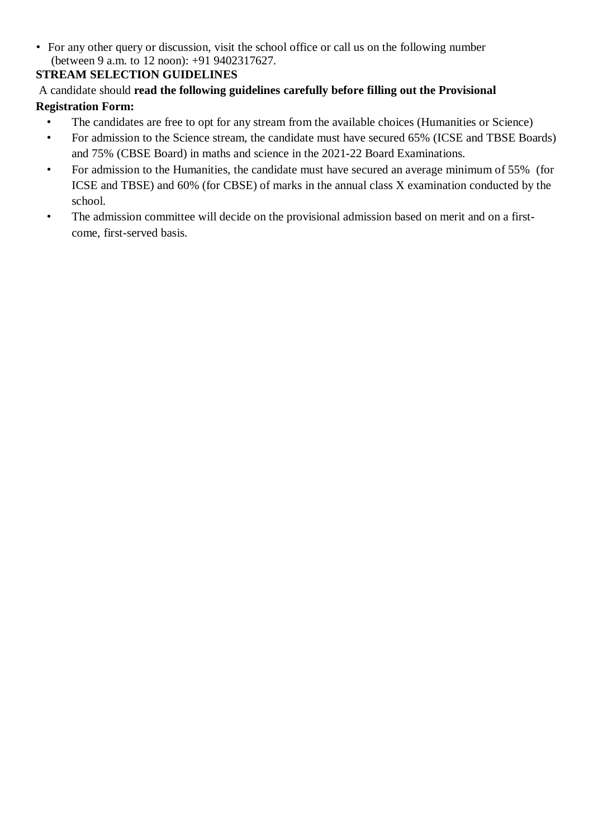• For any other query or discussion, visit the school office or call us on the following number (between 9 a.m. to 12 noon): +91 9402317627.

# **STREAM SELECTION GUIDELINES**

# A candidate should **read the following guidelines carefully before filling out the Provisional Registration Form:**

- The candidates are free to opt for any stream from the available choices (Humanities or Science)
- For admission to the Science stream, the candidate must have secured 65% (ICSE and TBSE Boards) and 75% (CBSE Board) in maths and science in the 2021-22 Board Examinations.
- For admission to the Humanities, the candidate must have secured an average minimum of 55% (for ICSE and TBSE) and 60% (for CBSE) of marks in the annual class X examination conducted by the school.
- The admission committee will decide on the provisional admission based on merit and on a firstcome, first-served basis.